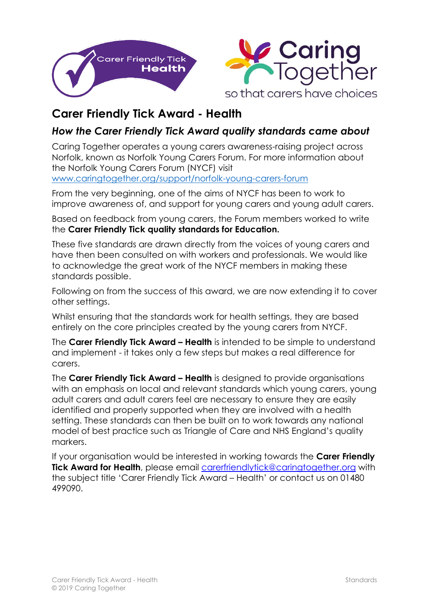



## **Carer Friendly Tick Award - Health**

## *How the Carer Friendly Tick Award quality standards came about*

Caring Together operates a young carers awareness-raising project across Norfolk, known as Norfolk Young Carers Forum. For more information about the Norfolk Young Carers Forum (NYCF) visit [www.caringtogether.org/support/norfolk-young-carers-forum](http://www.caringtogether.org/support/norfolk-young-carers-forum)

From the very beginning, one of the aims of NYCF has been to work to improve awareness of, and support for young carers and young adult carers.

Based on feedback from young carers, the Forum members worked to write the **Carer Friendly Tick quality standards for Education.**

These five standards are drawn directly from the voices of young carers and have then been consulted on with workers and professionals. We would like to acknowledge the great work of the NYCF members in making these standards possible.

Following on from the success of this award, we are now extending it to cover other settings.

Whilst ensuring that the standards work for health settings, they are based entirely on the core principles created by the young carers from NYCF.

The **Carer Friendly Tick Award – Health** is intended to be simple to understand and implement - it takes only a few steps but makes a real difference for carers.

The **Carer Friendly Tick Award – Health** is designed to provide organisations with an emphasis on local and relevant standards which young carers, young adult carers and adult carers feel are necessary to ensure they are easily identified and properly supported when they are involved with a health setting. These standards can then be built on to work towards any national model of best practice such as Triangle of Care and NHS England's quality markers.

If your organisation would be interested in working towards the **Carer Friendly Tick Award for Health**, please email [carerfriendlytick@c](mailto:carerfriendlytick@carerstrustcpn.org)aringtogether.org with the subject title 'Carer Friendly Tick Award – Health' or contact us on 01480 499090.